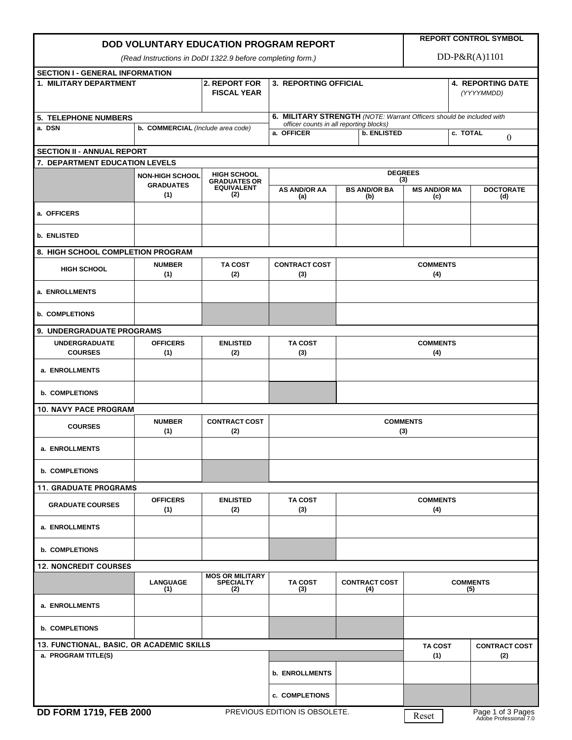| DOD VOLUNTARY EDUCATION PROGRAM REPORT                     |                                                                      |                                                   |                                                                             |                                        | <b>REPORT CONTROL SYMBOL</b>      |                              |                         |  |  |
|------------------------------------------------------------|----------------------------------------------------------------------|---------------------------------------------------|-----------------------------------------------------------------------------|----------------------------------------|-----------------------------------|------------------------------|-------------------------|--|--|
| (Read Instructions in DoDI 1322.9 before completing form.) |                                                                      |                                                   |                                                                             |                                        |                                   | $DD-P\&R(A)1101$             |                         |  |  |
| <b>SECTION I - GENERAL INFORMATION</b>                     |                                                                      |                                                   |                                                                             |                                        |                                   |                              |                         |  |  |
| <b>1. MILITARY DEPARTMENT</b>                              |                                                                      | 2. REPORT FOR<br><b>FISCAL YEAR</b>               | <b>3. REPORTING OFFICIAL</b>                                                | <b>4. REPORTING DATE</b><br>(YYYYMMDD) |                                   |                              |                         |  |  |
| <b>5. TELEPHONE NUMBERS</b>                                | 6. MILITARY STRENGTH (NOTE: Warrant Officers should be included with |                                                   |                                                                             |                                        |                                   |                              |                         |  |  |
| a. DSN<br>b. COMMERCIAL (Include area code)                |                                                                      |                                                   | officer counts in all reporting blocks)<br>a. OFFICER<br><b>b. ENLISTED</b> |                                        |                                   | c. TOTAL<br>$\boldsymbol{0}$ |                         |  |  |
| <b>SECTION II - ANNUAL REPORT</b>                          |                                                                      |                                                   |                                                                             |                                        |                                   |                              |                         |  |  |
| 7. DEPARTMENT EDUCATION LEVELS                             |                                                                      |                                                   |                                                                             |                                        |                                   |                              |                         |  |  |
|                                                            | <b>HIGH SCHOOL</b><br><b>NON-HIGH SCHOOL</b><br><b>GRADUATES OR</b>  |                                                   |                                                                             | <b>DEGREES</b>                         |                                   |                              |                         |  |  |
|                                                            | <b>GRADUATES</b><br>(1)                                              | <b>EQUIVALENT</b><br>(2)                          | <b>AS AND/OR AA</b><br>(a)                                                  | <b>BS AND/OR BA</b><br>(b)             | (3)<br><b>MS AND/OR MA</b><br>(c) |                              | <b>DOCTORATE</b><br>(d) |  |  |
| a. OFFICERS                                                |                                                                      |                                                   |                                                                             |                                        |                                   |                              |                         |  |  |
| <b>b. ENLISTED</b>                                         |                                                                      |                                                   |                                                                             |                                        |                                   |                              |                         |  |  |
| 8. HIGH SCHOOL COMPLETION PROGRAM                          |                                                                      |                                                   |                                                                             |                                        |                                   |                              |                         |  |  |
| <b>HIGH SCHOOL</b>                                         | <b>NUMBER</b><br>(1)                                                 | <b>TA COST</b><br>(2)                             | <b>CONTRACT COST</b><br>(3)                                                 | <b>COMMENTS</b><br>(4)                 |                                   |                              |                         |  |  |
| a. ENROLLMENTS                                             |                                                                      |                                                   |                                                                             |                                        |                                   |                              |                         |  |  |
| <b>b. COMPLETIONS</b>                                      |                                                                      |                                                   |                                                                             |                                        |                                   |                              |                         |  |  |
| 9. UNDERGRADUATE PROGRAMS                                  |                                                                      |                                                   |                                                                             |                                        |                                   |                              |                         |  |  |
| <b>UNDERGRADUATE</b><br><b>COURSES</b>                     | <b>OFFICERS</b><br>(1)                                               | <b>ENLISTED</b><br>(2)                            | <b>TA COST</b><br>(3)                                                       | <b>COMMENTS</b><br>(4)                 |                                   |                              |                         |  |  |
| a. ENROLLMENTS                                             |                                                                      |                                                   |                                                                             |                                        |                                   |                              |                         |  |  |
| <b>b. COMPLETIONS</b>                                      |                                                                      |                                                   |                                                                             |                                        |                                   |                              |                         |  |  |
| <b>10. NAVY PACE PROGRAM</b>                               |                                                                      |                                                   |                                                                             |                                        |                                   |                              |                         |  |  |
| <b>COURSES</b>                                             | <b>NUMBER</b><br>(1)                                                 | <b>CONTRACT COST</b><br>(2)                       |                                                                             | <b>COMMENTS</b><br>(3)                 |                                   |                              |                         |  |  |
| a. ENROLLMENTS                                             |                                                                      |                                                   |                                                                             |                                        |                                   |                              |                         |  |  |
| <b>b. COMPLETIONS</b>                                      |                                                                      |                                                   |                                                                             |                                        |                                   |                              |                         |  |  |
| <b>11. GRADUATE PROGRAMS</b>                               |                                                                      |                                                   |                                                                             |                                        |                                   |                              |                         |  |  |
| <b>GRADUATE COURSES</b>                                    | <b>OFFICERS</b><br>(1)                                               | <b>ENLISTED</b><br>(2)                            | <b>TA COST</b><br>(3)                                                       | <b>COMMENTS</b><br>(4)                 |                                   |                              |                         |  |  |
| a. ENROLLMENTS                                             |                                                                      |                                                   |                                                                             |                                        |                                   |                              |                         |  |  |
| <b>b. COMPLETIONS</b>                                      |                                                                      |                                                   |                                                                             |                                        |                                   |                              |                         |  |  |
| <b>12. NONCREDIT COURSES</b>                               |                                                                      |                                                   |                                                                             |                                        |                                   |                              |                         |  |  |
|                                                            | <b>LANGUAGE</b><br>(1)                                               | <b>MOS OR MILITARY</b><br><b>SPECIALTY</b><br>(2) | <b>TA COST</b><br>(3)                                                       | <b>CONTRACT COST</b><br>(4)            | <b>COMMENTS</b><br>(5)            |                              |                         |  |  |
| a. ENROLLMENTS                                             |                                                                      |                                                   |                                                                             |                                        |                                   |                              |                         |  |  |
| <b>b. COMPLETIONS</b>                                      |                                                                      |                                                   |                                                                             |                                        |                                   |                              |                         |  |  |
| 13. FUNCTIONAL, BASIC, OR ACADEMIC SKILLS                  |                                                                      |                                                   |                                                                             |                                        | <b>TA COST</b>                    |                              | <b>CONTRACT COST</b>    |  |  |
| a. PROGRAM TITLE(S)                                        |                                                                      |                                                   |                                                                             |                                        | (1)                               |                              | (2)                     |  |  |
|                                                            |                                                                      |                                                   | <b>b. ENROLLMENTS</b>                                                       |                                        |                                   |                              |                         |  |  |
| FABULITIA FEB 0000                                         |                                                                      |                                                   | c. COMPLETIONS<br>BBEVIOUS EBITION 10 OBOOLETE                              |                                        |                                   |                              |                         |  |  |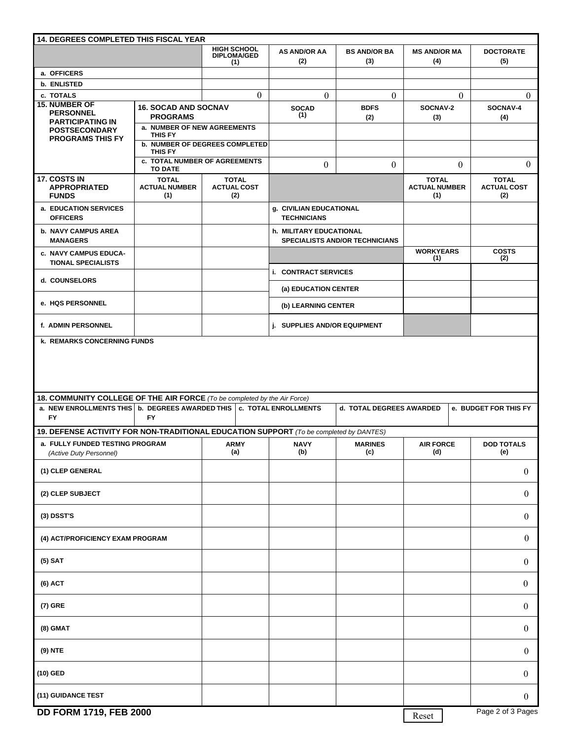| <b>14. DEGREES COMPLETED THIS FISCAL YEAR</b>                                                                                                                                                                                        |                                                                           |                                                 |                                                                  |                            |                                             |                                           |  |  |
|--------------------------------------------------------------------------------------------------------------------------------------------------------------------------------------------------------------------------------------|---------------------------------------------------------------------------|-------------------------------------------------|------------------------------------------------------------------|----------------------------|---------------------------------------------|-------------------------------------------|--|--|
|                                                                                                                                                                                                                                      |                                                                           | <b>HIGH SCHOOL</b><br><b>DIPLOMA/GED</b><br>(1) | <b>AS AND/OR AA</b><br>(2)                                       | <b>BS AND/OR BA</b><br>(3) | <b>MS AND/OR MA</b><br>(4)                  | <b>DOCTORATE</b><br>(5)                   |  |  |
| a. OFFICERS                                                                                                                                                                                                                          |                                                                           |                                                 |                                                                  |                            |                                             |                                           |  |  |
| <b>b. ENLISTED</b>                                                                                                                                                                                                                   |                                                                           |                                                 |                                                                  |                            |                                             |                                           |  |  |
| $\theta$<br>c. TOTALS                                                                                                                                                                                                                |                                                                           | $\theta$                                        | $\theta$                                                         | $\theta$                   | $\Omega$                                    |                                           |  |  |
| <b>15. NUMBER OF</b><br><b>PERSONNEL</b><br><b>PARTICIPATING IN</b>                                                                                                                                                                  | <b>16. SOCAD AND SOCNAV</b><br><b>PROGRAMS</b>                            |                                                 | <b>SOCAD</b><br>(1)                                              | <b>BDFS</b><br>(2)         | SOCNAV-2<br>(3)                             | SOCNAV-4<br>(4)                           |  |  |
| <b>POSTSECONDARY</b><br><b>PROGRAMS THIS FY</b>                                                                                                                                                                                      | a. NUMBER OF NEW AGREEMENTS                                               |                                                 |                                                                  |                            |                                             |                                           |  |  |
|                                                                                                                                                                                                                                      | <b>THIS FY</b><br><b>b. NUMBER OF DEGREES COMPLETED</b><br><b>THIS FY</b> |                                                 |                                                                  |                            |                                             |                                           |  |  |
|                                                                                                                                                                                                                                      | <b>c. TOTAL NUMBER OF AGREEMENTS</b><br><b>TO DATE</b>                    |                                                 | $\boldsymbol{0}$<br>$\boldsymbol{0}$                             |                            | $\theta$                                    | $\mathbf{0}$                              |  |  |
| 17. COSTS IN<br><b>APPROPRIATED</b><br><b>FUNDS</b>                                                                                                                                                                                  | <b>TOTAL</b><br><b>ACTUAL NUMBER</b><br>(1)                               | <b>TOTAL</b><br><b>ACTUAL COST</b><br>(2)       |                                                                  |                            | <b>TOTAL</b><br><b>ACTUAL NUMBER</b><br>(1) | <b>TOTAL</b><br><b>ACTUAL COST</b><br>(2) |  |  |
| a. EDUCATION SERVICES<br><b>OFFICERS</b>                                                                                                                                                                                             |                                                                           |                                                 | g. CIVILIAN EDUCATIONAL<br><b>TECHNICIANS</b>                    |                            |                                             |                                           |  |  |
| <b>b. NAVY CAMPUS AREA</b><br><b>MANAGERS</b>                                                                                                                                                                                        |                                                                           |                                                 | h. MILITARY EDUCATIONAL<br><b>SPECIALISTS AND/OR TECHNICIANS</b> |                            |                                             |                                           |  |  |
| c. NAVY CAMPUS EDUCA-<br><b>TIONAL SPECIALISTS</b>                                                                                                                                                                                   |                                                                           |                                                 |                                                                  |                            | <b>WORKYEARS</b><br>(1)                     | <b>COSTS</b><br>(2)                       |  |  |
| d. COUNSELORS                                                                                                                                                                                                                        |                                                                           |                                                 |                                                                  | i. CONTRACT SERVICES       |                                             |                                           |  |  |
| e. HQS PERSONNEL                                                                                                                                                                                                                     |                                                                           |                                                 | (b) LEARNING CENTER                                              | (a) EDUCATION CENTER       |                                             |                                           |  |  |
| f. ADMIN PERSONNEL                                                                                                                                                                                                                   |                                                                           |                                                 | <b>i. SUPPLIES AND/OR EQUIPMENT</b>                              |                            |                                             |                                           |  |  |
| <b>k. REMARKS CONCERNING FUNDS</b>                                                                                                                                                                                                   |                                                                           |                                                 |                                                                  |                            |                                             |                                           |  |  |
| 18. COMMUNITY COLLEGE OF THE AIR FORCE (To be completed by the Air Force)<br>a. NEW ENROLLMENTS THIS   b. DEGREES AWARDED THIS   c. TOTAL ENROLLMENTS<br>d. TOTAL DEGREES AWARDED<br>e. BUDGET FOR THIS FY<br><b>FY</b><br><b>FY</b> |                                                                           |                                                 |                                                                  |                            |                                             |                                           |  |  |
| 19. DEFENSE ACTIVITY FOR NON-TRADITIONAL EDUCATION SUPPORT (To be completed by DANTES)                                                                                                                                               |                                                                           |                                                 |                                                                  |                            |                                             |                                           |  |  |
| a. FULLY FUNDED TESTING PROGRAM<br>(Active Duty Personnel)                                                                                                                                                                           |                                                                           | <b>ARMY</b><br>(a)                              | <b>NAVY</b><br>(b)                                               | <b>MARINES</b><br>(c)      | <b>AIR FORCE</b><br>(d)                     | <b>DOD TOTALS</b><br>(e)                  |  |  |
| (1) CLEP GENERAL                                                                                                                                                                                                                     |                                                                           |                                                 |                                                                  |                            |                                             | $\boldsymbol{0}$                          |  |  |
| (2) CLEP SUBJECT                                                                                                                                                                                                                     |                                                                           |                                                 |                                                                  |                            |                                             | $\boldsymbol{0}$                          |  |  |
| (3) DSST'S                                                                                                                                                                                                                           |                                                                           |                                                 |                                                                  |                            |                                             | $\boldsymbol{0}$                          |  |  |
| (4) ACT/PROFICIENCY EXAM PROGRAM                                                                                                                                                                                                     |                                                                           |                                                 |                                                                  |                            |                                             | $\boldsymbol{0}$                          |  |  |
| $(5)$ SAT                                                                                                                                                                                                                            |                                                                           |                                                 |                                                                  |                            |                                             | $\boldsymbol{0}$                          |  |  |
| (6) ACT                                                                                                                                                                                                                              |                                                                           |                                                 |                                                                  |                            |                                             | $\boldsymbol{0}$                          |  |  |
| (7) GRE                                                                                                                                                                                                                              |                                                                           |                                                 |                                                                  |                            |                                             | $\boldsymbol{0}$                          |  |  |
| (8) GMAT                                                                                                                                                                                                                             |                                                                           |                                                 |                                                                  |                            |                                             | $\boldsymbol{0}$                          |  |  |
| (9) NTE                                                                                                                                                                                                                              |                                                                           |                                                 |                                                                  |                            |                                             | $\boldsymbol{0}$                          |  |  |
| (10) GED                                                                                                                                                                                                                             |                                                                           |                                                 |                                                                  |                            |                                             | $\boldsymbol{0}$                          |  |  |
| (11) GUIDANCE TEST                                                                                                                                                                                                                   |                                                                           |                                                 |                                                                  |                            |                                             | $\boldsymbol{0}$                          |  |  |
| <b>DD FORM 1719, FEB 2000</b>                                                                                                                                                                                                        |                                                                           |                                                 |                                                                  |                            | Reet                                        | Page 2 of 3 Pages                         |  |  |